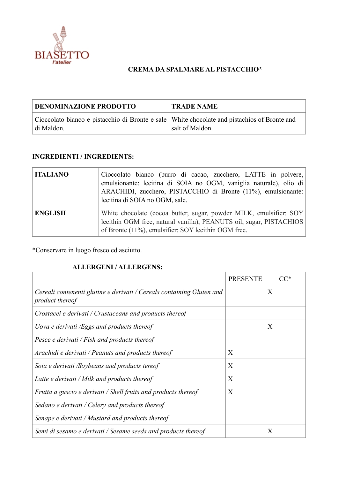

## **CREMA DA SPALMARE AL PISTACCHIO\***

| <b>DENOMINAZIONE PRODOTTO</b>                                                                                | <b>TRADE NAME</b> |
|--------------------------------------------------------------------------------------------------------------|-------------------|
| Cioccolato bianco e pistacchio di Bronte e sale White chocolate and pistachios of Bronte and<br>  di Maldon. | salt of Maldon.   |

## **INGREDIENTI / INGREDIENTS:**

| <b>ITALIANO</b> | Cioccolato bianco (burro di cacao, zucchero, LATTE in polvere,<br>emulsionante: lecitina di SOIA no OGM, vaniglia naturale), olio di<br>ARACHIDI, zucchero, PISTACCHIO di Bronte (11%), emulsionante:<br>lecitina di SOIA no OGM, sale. |
|-----------------|-----------------------------------------------------------------------------------------------------------------------------------------------------------------------------------------------------------------------------------------|
| <b>ENGLISH</b>  | White chocolate (cocoa butter, sugar, powder MILK, emulsifier: SOY<br>lecithin OGM free, natural vanilla), PEANUTS oil, sugar, PISTACHIOS<br>of Bronte (11%), emulsifier: SOY lecithin OGM free.                                        |

\*Conservare in luogo fresco ed asciutto.

## **ALLERGENI / ALLERGENS:**

|                                                                                          | <b>PRESENTE</b> |   |
|------------------------------------------------------------------------------------------|-----------------|---|
| Cereali contenenti glutine e derivati / Cereals containing Gluten and<br>product thereof |                 | X |
| Crostacei e derivati / Crustaceans and products thereof                                  |                 |   |
| Uova e derivati /Eggs and products thereof                                               |                 | X |
| Pesce e derivati / Fish and products thereof                                             |                 |   |
| Arachidi e derivati / Peanuts and products thereof                                       | X               |   |
| Soia e derivati /Soybeans and products tereof                                            | X               |   |
| Latte e derivati / Milk and products thereof                                             | X               |   |
| Frutta a guscio e derivati / Shell fruits and products thereof                           | $\mathbf{X}$    |   |
| Sedano e derivati / Celery and products thereof                                          |                 |   |
| Senape e derivati / Mustard and products thereof                                         |                 |   |
| Semi di sesamo e derivati / Sesame seeds and products thereof                            |                 | X |